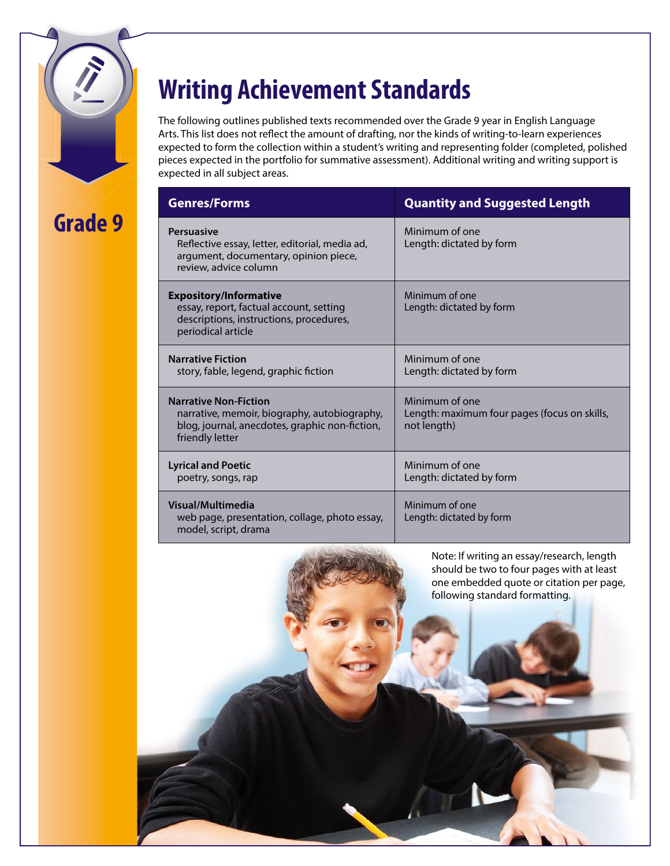**Grade 9** 

# **Writing Achievement Standards**

The following outlines published texts recommended over the Grade 9 year in English Language Arts. This list does not reflect the amount of drafting, nor the kinds of writing-to-learn experiences expected to form the collection within a student's writing and representing folder (completed, polished pieces expected in the portfolio for summative assessment). Additional writing and writing support is expected in all subject areas.

| <b>Genres/Forms</b>                                                                                                                               | <b>Quantity and Suggested Length</b>                                          |  |  |
|---------------------------------------------------------------------------------------------------------------------------------------------------|-------------------------------------------------------------------------------|--|--|
| <b>Persuasive</b><br>Reflective essay, letter, editorial, media ad,<br>argument, documentary, opinion piece,<br>review, advice column             | Minimum of one<br>Length: dictated by form                                    |  |  |
| <b>Expository/Informative</b><br>essay, report, factual account, setting<br>descriptions, instructions, procedures,<br>periodical article         | Minimum of one<br>Length: dictated by form                                    |  |  |
| <b>Narrative Fiction</b><br>story, fable, legend, graphic fiction                                                                                 | Minimum of one<br>Length: dictated by form                                    |  |  |
| <b>Narrative Non-Fiction</b><br>narrative, memoir, biography, autobiography,<br>blog, journal, anecdotes, graphic non-fiction,<br>friendly letter | Minimum of one<br>Length: maximum four pages (focus on skills,<br>not length) |  |  |
| <b>Lyrical and Poetic</b><br>poetry, songs, rap                                                                                                   | Minimum of one<br>Length: dictated by form                                    |  |  |
| Visual/Multimedia<br>web page, presentation, collage, photo essay,<br>model, script, drama                                                        | Minimum of one<br>Length: dictated by form                                    |  |  |

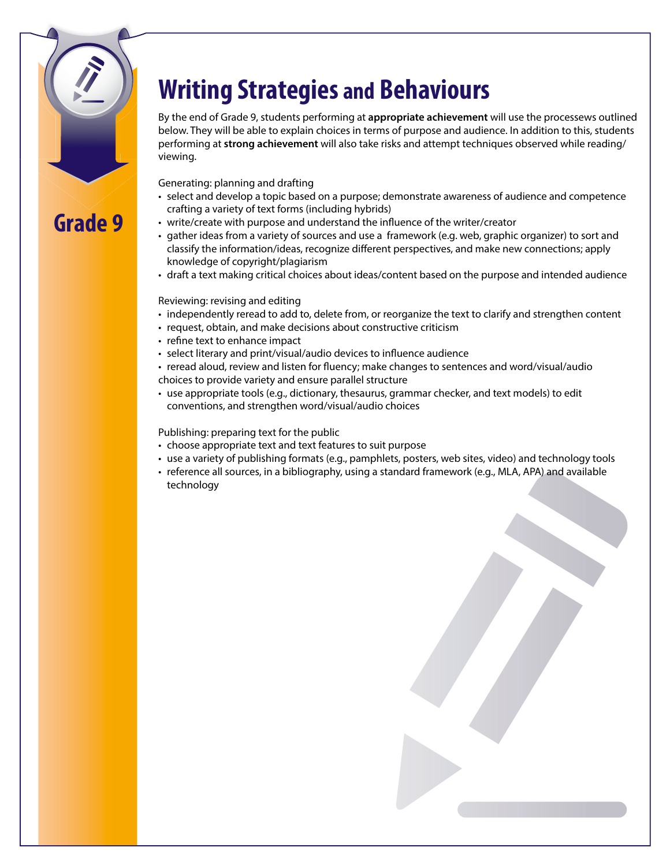# **Writing Strategies and Behaviours**

By the end of Grade 9, students performing at **appropriate achievement** will use the processews outlined below. They will be able to explain choices in terms of purpose and audience. In addition to this, students performing at **strong achievement** will also take risks and attempt techniques observed while reading/ viewing.

Generating: planning and drafting

**Grade 9** 

- • select and develop a topic based on a purpose; demonstrate awareness of audience and competence crafting a variety of text forms (including hybrids)
- write/create with purpose and understand the influence of the writer/creator
- • gather ideas from a variety of sources and use a framework (e.g. web, graphic organizer) to sort and classify the information/ideas, recognize different perspectives, and make new connections; apply knowledge of copyright/plagiarism
- • draft a text making critical choices about ideas/content based on the purpose and intended audience

Reviewing: revising and editing

- independently reread to add to, delete from, or reorganize the text to clarify and strengthen content
- request, obtain, and make decisions about constructive criticism
- refine text to enhance impact
- select literary and print/visual/audio devices to influence audience
- • reread aloud, review and listen for fluency; make changes to sentences and word/visual/audio choices to provide variety and ensure parallel structure
- • use appropriate tools (e.g., dictionary, thesaurus, grammar checker, and text models) to edit conventions, and strengthen word/visual/audio choices

Publishing: preparing text for the public

- choose appropriate text and text features to suit purpose
- • use a variety of publishing formats (e.g., pamphlets, posters, web sites, video) and technology tools
- • reference all sources, in a bibliography, using a standard framework (e.g., MLA, APA) and available technology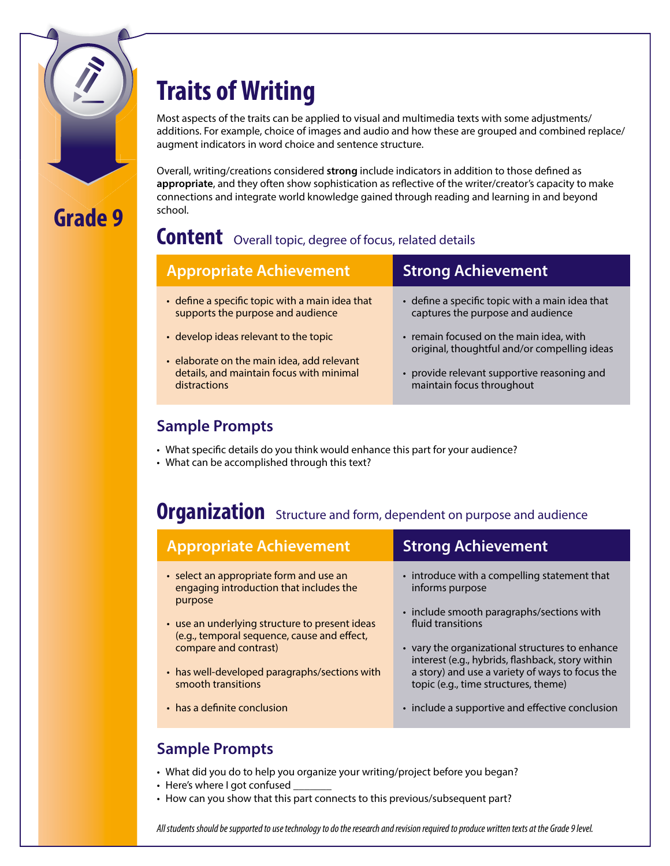

# **Traits of Writing**

Most aspects of the traits can be applied to visual and multimedia texts with some adjustments/ additions. For example, choice of images and audio and how these are grouped and combined replace/ augment indicators in word choice and sentence structure.

Overall, writing/creations considered **strong** include indicators in addition to those defined as **appropriate**, and they often show sophistication as reflective of the writer/creator's capacity to make connections and integrate world knowledge gained through reading and learning in and beyond school.

### **Content** Overall topic, degree of focus, related details

| <b>Appropriate Achievement</b>                                                                                                | <b>Strong Achievement</b>                                                                                                                                           |  |
|-------------------------------------------------------------------------------------------------------------------------------|---------------------------------------------------------------------------------------------------------------------------------------------------------------------|--|
| • define a specific topic with a main idea that<br>supports the purpose and audience<br>• develop ideas relevant to the topic | • define a specific topic with a main idea that<br>captures the purpose and audience                                                                                |  |
| • elaborate on the main idea, add relevant<br>details, and maintain focus with minimal<br>distractions                        | • remain focused on the main idea, with<br>original, thoughtful and/or compelling ideas<br>• provide relevant supportive reasoning and<br>maintain focus throughout |  |

### **Sample Prompts**

- What specific details do you think would enhance this part for your audience?
- What can be accomplished through this text?

### **Organization** Structure and form, dependent on purpose and audience

| <b>Appropriate Achievement</b>                                                                                                                                                                                                                                                                                                      | <b>Strong Achievement</b>                                                                                                                                                                                                                                                                                                                                                              |
|-------------------------------------------------------------------------------------------------------------------------------------------------------------------------------------------------------------------------------------------------------------------------------------------------------------------------------------|----------------------------------------------------------------------------------------------------------------------------------------------------------------------------------------------------------------------------------------------------------------------------------------------------------------------------------------------------------------------------------------|
| • select an appropriate form and use an<br>engaging introduction that includes the<br>purpose<br>• use an underlying structure to present ideas<br>(e.g., temporal sequence, cause and effect,<br>compare and contrast)<br>• has well-developed paragraphs/sections with<br>smooth transitions<br>$\cdot$ has a definite conclusion | • introduce with a compelling statement that<br>informs purpose<br>• include smooth paragraphs/sections with<br>fluid transitions<br>• vary the organizational structures to enhance<br>interest (e.g., hybrids, flashback, story within<br>a story) and use a variety of ways to focus the<br>topic (e.g., time structures, theme)<br>• include a supportive and effective conclusion |
|                                                                                                                                                                                                                                                                                                                                     |                                                                                                                                                                                                                                                                                                                                                                                        |

#### **Sample Prompts**

- What did you do to help you organize your writing/project before you began?
- Here's where I got confused
- How can you show that this part connects to this previous/subsequent part?

*All students should be supported to use technology to do the research and revision required to produce written texts at the Grade 9 level.*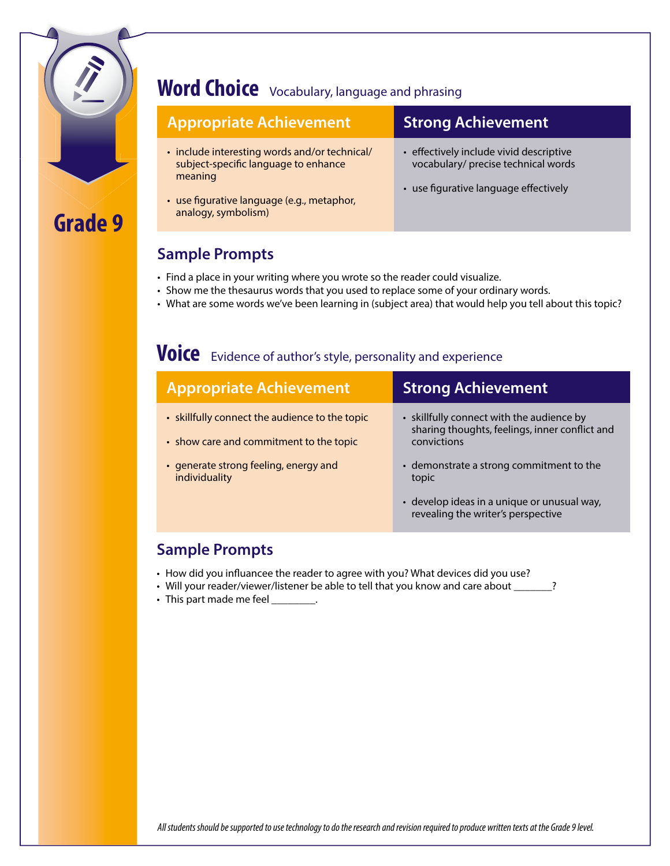

## **Word Choice** Vocabulary, language and phrasing

### **Appropriate Achievement Strong Achievement**

- include interesting words and/or technical/ subject-specific language to enhance meaning
- use figurative language (e.g., metaphor, analogy, symbolism)

- effectively include vivid descriptive vocabulary/ precise technical words
- use figurative language effectively

#### **Sample Prompts**

- Find a place in your writing where you wrote so the reader could visualize.
- • Show me the thesaurus words that you used to replace some of your ordinary words.
- • What are some words we've been learning in (subject area) that would help you tell about this topic?

### **Voice** Evidence of author's style, personality and experience

| <b>Appropriate Achievement</b>                                                            | <b>Strong Achievement</b>                                                                                  |  |
|-------------------------------------------------------------------------------------------|------------------------------------------------------------------------------------------------------------|--|
| • skillfully connect the audience to the topic<br>• show care and commitment to the topic | • skillfully connect with the audience by<br>sharing thoughts, feelings, inner conflict and<br>convictions |  |
| • generate strong feeling, energy and<br>individuality                                    | • demonstrate a strong commitment to the<br>topic                                                          |  |
|                                                                                           | · develop ideas in a unique or unusual way,<br>revealing the writer's perspective                          |  |

#### **Sample Prompts**

- How did you influancee the reader to agree with you? What devices did you use?
- Will your reader/viewer/listener be able to tell that you know and care about \_\_\_\_\_\_\_?
- This part made me feel \_\_\_\_\_\_\_\_.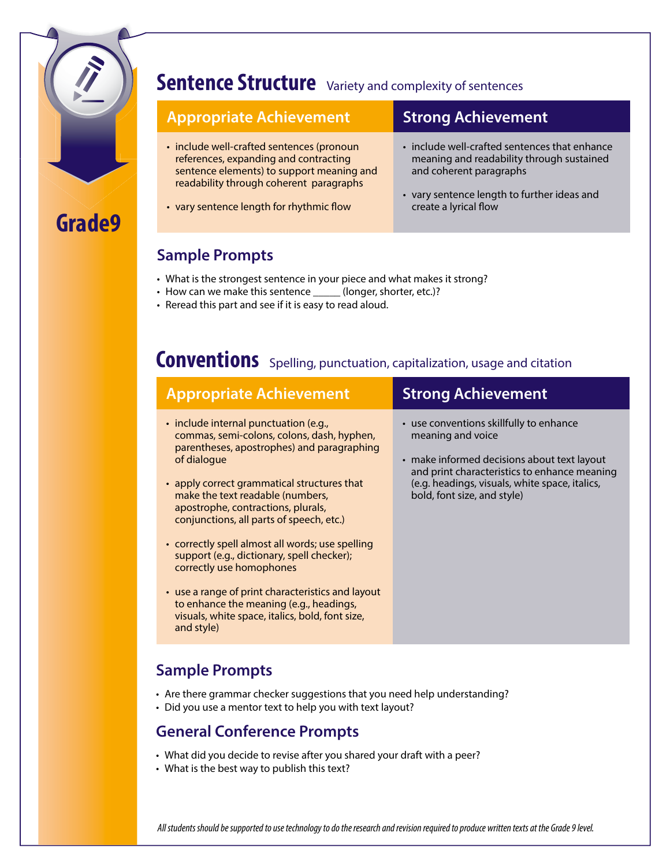

### **Sentence Structure** Variety and complexity of sentences

#### **Appropriate Achievement Strong Achievement** • include well-crafted sentences (pronoun references, expanding and contracting sentence elements) to support meaning and readability through coherent paragraphs • vary sentence length for rhythmic flow • include well-crafted sentences that enhance meaning and readability through sustained and coherent paragraphs • vary sentence length to further ideas and create a lyrical flow

#### **Sample Prompts**

- What is the strongest sentence in your piece and what makes it strong?
- How can we make this sentence \_\_\_\_\_ (longer, shorter, etc.)?
- Reread this part and see if it is easy to read aloud.

## **Conventions** Spelling, punctuation, capitalization, usage and citation

| <b>Appropriate Achievement</b>                                                                                                                                                                                                                                                                                                                                                                                                                                                                                                                                                                                       | <b>Strong Achievement</b>                                                                                                                                                                                                                    |
|----------------------------------------------------------------------------------------------------------------------------------------------------------------------------------------------------------------------------------------------------------------------------------------------------------------------------------------------------------------------------------------------------------------------------------------------------------------------------------------------------------------------------------------------------------------------------------------------------------------------|----------------------------------------------------------------------------------------------------------------------------------------------------------------------------------------------------------------------------------------------|
| · include internal punctuation (e.g.,<br>commas, semi-colons, colons, dash, hyphen,<br>parentheses, apostrophes) and paragraphing<br>of dialogue<br>• apply correct grammatical structures that<br>make the text readable (numbers,<br>apostrophe, contractions, plurals,<br>conjunctions, all parts of speech, etc.)<br>• correctly spell almost all words; use spelling<br>support (e.g., dictionary, spell checker);<br>correctly use homophones<br>• use a range of print characteristics and layout<br>to enhance the meaning (e.g., headings,<br>visuals, white space, italics, bold, font size,<br>and style) | • use conventions skillfully to enhance<br>meaning and voice<br>• make informed decisions about text layout<br>and print characteristics to enhance meaning<br>(e.g. headings, visuals, white space, italics,<br>bold, font size, and style) |
|                                                                                                                                                                                                                                                                                                                                                                                                                                                                                                                                                                                                                      |                                                                                                                                                                                                                                              |

#### **Sample Prompts**

- Are there grammar checker suggestions that you need help understanding?
- Did you use a mentor text to help you with text layout?

#### **General Conference Prompts**

- What did you decide to revise after you shared your draft with a peer?
- What is the best way to publish this text?

*All students should be supported to use technology to do the research and revision required to produce written texts at the Grade 9 level.*